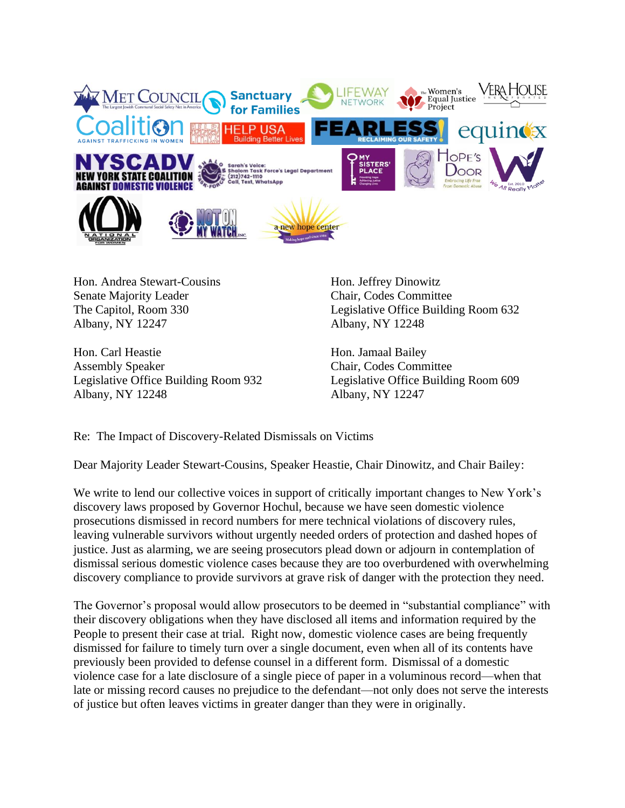

Hon. Andrea Stewart-Cousins Senate Majority Leader The Capitol, Room 330 Albany, NY 12247

Hon. Carl Heastie Assembly Speaker Legislative Office Building Room 932 Albany, NY 12248

Hon. Jeffrey Dinowitz Chair, Codes Committee Legislative Office Building Room 632 Albany, NY 12248

Hon. Jamaal Bailey Chair, Codes Committee Legislative Office Building Room 609 Albany, NY 12247

Re: The Impact of Discovery-Related Dismissals on Victims

Dear Majority Leader Stewart-Cousins, Speaker Heastie, Chair Dinowitz, and Chair Bailey:

We write to lend our collective voices in support of critically important changes to New York's discovery laws proposed by Governor Hochul, because we have seen domestic violence prosecutions dismissed in record numbers for mere technical violations of discovery rules, leaving vulnerable survivors without urgently needed orders of protection and dashed hopes of justice. Just as alarming, we are seeing prosecutors plead down or adjourn in contemplation of dismissal serious domestic violence cases because they are too overburdened with overwhelming discovery compliance to provide survivors at grave risk of danger with the protection they need.

The Governor's proposal would allow prosecutors to be deemed in "substantial compliance" with their discovery obligations when they have disclosed all items and information required by the People to present their case at trial. Right now, domestic violence cases are being frequently dismissed for failure to timely turn over a single document, even when all of its contents have previously been provided to defense counsel in a different form. Dismissal of a domestic violence case for a late disclosure of a single piece of paper in a voluminous record—when that late or missing record causes no prejudice to the defendant—not only does not serve the interests of justice but often leaves victims in greater danger than they were in originally.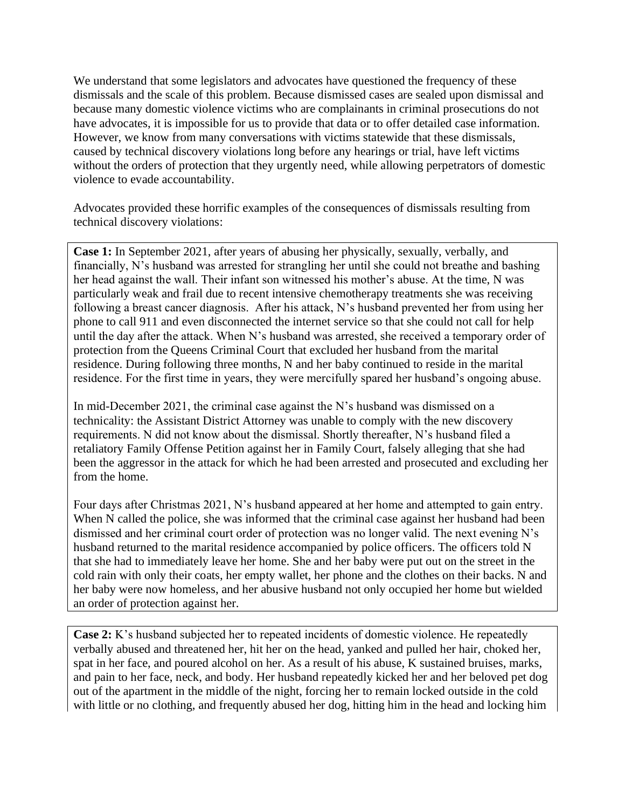We understand that some legislators and advocates have questioned the frequency of these dismissals and the scale of this problem. Because dismissed cases are sealed upon dismissal and because many domestic violence victims who are complainants in criminal prosecutions do not have advocates, it is impossible for us to provide that data or to offer detailed case information. However, we know from many conversations with victims statewide that these dismissals, caused by technical discovery violations long before any hearings or trial, have left victims without the orders of protection that they urgently need, while allowing perpetrators of domestic violence to evade accountability.

Advocates provided these horrific examples of the consequences of dismissals resulting from technical discovery violations:

**Case 1:** In September 2021, after years of abusing her physically, sexually, verbally, and financially, N's husband was arrested for strangling her until she could not breathe and bashing her head against the wall. Their infant son witnessed his mother's abuse. At the time, N was particularly weak and frail due to recent intensive chemotherapy treatments she was receiving following a breast cancer diagnosis. After his attack, N's husband prevented her from using her phone to call 911 and even disconnected the internet service so that she could not call for help until the day after the attack. When N's husband was arrested, she received a temporary order of protection from the Queens Criminal Court that excluded her husband from the marital residence. During following three months, N and her baby continued to reside in the marital residence. For the first time in years, they were mercifully spared her husband's ongoing abuse.

In mid-December 2021, the criminal case against the N's husband was dismissed on a technicality: the Assistant District Attorney was unable to comply with the new discovery requirements. N did not know about the dismissal. Shortly thereafter, N's husband filed a retaliatory Family Offense Petition against her in Family Court, falsely alleging that she had been the aggressor in the attack for which he had been arrested and prosecuted and excluding her from the home.

Four days after Christmas 2021, N's husband appeared at her home and attempted to gain entry. When N called the police, she was informed that the criminal case against her husband had been dismissed and her criminal court order of protection was no longer valid. The next evening N's husband returned to the marital residence accompanied by police officers. The officers told N that she had to immediately leave her home. She and her baby were put out on the street in the cold rain with only their coats, her empty wallet, her phone and the clothes on their backs. N and her baby were now homeless, and her abusive husband not only occupied her home but wielded an order of protection against her.

**Case 2:** K's husband subjected her to repeated incidents of domestic violence. He repeatedly verbally abused and threatened her, hit her on the head, yanked and pulled her hair, choked her, spat in her face, and poured alcohol on her. As a result of his abuse, K sustained bruises, marks, and pain to her face, neck, and body. Her husband repeatedly kicked her and her beloved pet dog out of the apartment in the middle of the night, forcing her to remain locked outside in the cold with little or no clothing, and frequently abused her dog, hitting him in the head and locking him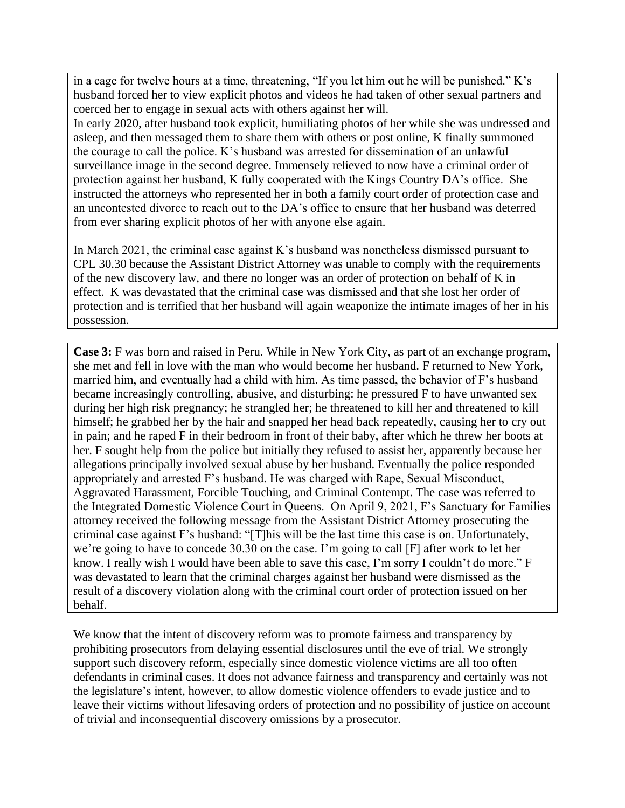in a cage for twelve hours at a time, threatening, "If you let him out he will be punished." K's husband forced her to view explicit photos and videos he had taken of other sexual partners and coerced her to engage in sexual acts with others against her will.

In early 2020, after husband took explicit, humiliating photos of her while she was undressed and asleep, and then messaged them to share them with others or post online, K finally summoned the courage to call the police. K's husband was arrested for dissemination of an unlawful surveillance image in the second degree. Immensely relieved to now have a criminal order of protection against her husband, K fully cooperated with the Kings Country DA's office. She instructed the attorneys who represented her in both a family court order of protection case and an uncontested divorce to reach out to the DA's office to ensure that her husband was deterred from ever sharing explicit photos of her with anyone else again.

In March 2021, the criminal case against K's husband was nonetheless dismissed pursuant to CPL 30.30 because the Assistant District Attorney was unable to comply with the requirements of the new discovery law, and there no longer was an order of protection on behalf of K in effect. K was devastated that the criminal case was dismissed and that she lost her order of protection and is terrified that her husband will again weaponize the intimate images of her in his possession.

**Case 3:** F was born and raised in Peru. While in New York City, as part of an exchange program, she met and fell in love with the man who would become her husband. F returned to New York, married him, and eventually had a child with him. As time passed, the behavior of F's husband became increasingly controlling, abusive, and disturbing: he pressured F to have unwanted sex during her high risk pregnancy; he strangled her; he threatened to kill her and threatened to kill himself; he grabbed her by the hair and snapped her head back repeatedly, causing her to cry out in pain; and he raped F in their bedroom in front of their baby, after which he threw her boots at her. F sought help from the police but initially they refused to assist her, apparently because her allegations principally involved sexual abuse by her husband. Eventually the police responded appropriately and arrested F's husband. He was charged with Rape, Sexual Misconduct, Aggravated Harassment, Forcible Touching, and Criminal Contempt. The case was referred to the Integrated Domestic Violence Court in Queens. On April 9, 2021, F's Sanctuary for Families attorney received the following message from the Assistant District Attorney prosecuting the criminal case against F's husband: "[T]his will be the last time this case is on. Unfortunately, we're going to have to concede 30.30 on the case. I'm going to call [F] after work to let her know. I really wish I would have been able to save this case, I'm sorry I couldn't do more." F was devastated to learn that the criminal charges against her husband were dismissed as the result of a discovery violation along with the criminal court order of protection issued on her behalf.

We know that the intent of discovery reform was to promote fairness and transparency by prohibiting prosecutors from delaying essential disclosures until the eve of trial. We strongly support such discovery reform, especially since domestic violence victims are all too often defendants in criminal cases. It does not advance fairness and transparency and certainly was not the legislature's intent, however, to allow domestic violence offenders to evade justice and to leave their victims without lifesaving orders of protection and no possibility of justice on account of trivial and inconsequential discovery omissions by a prosecutor.